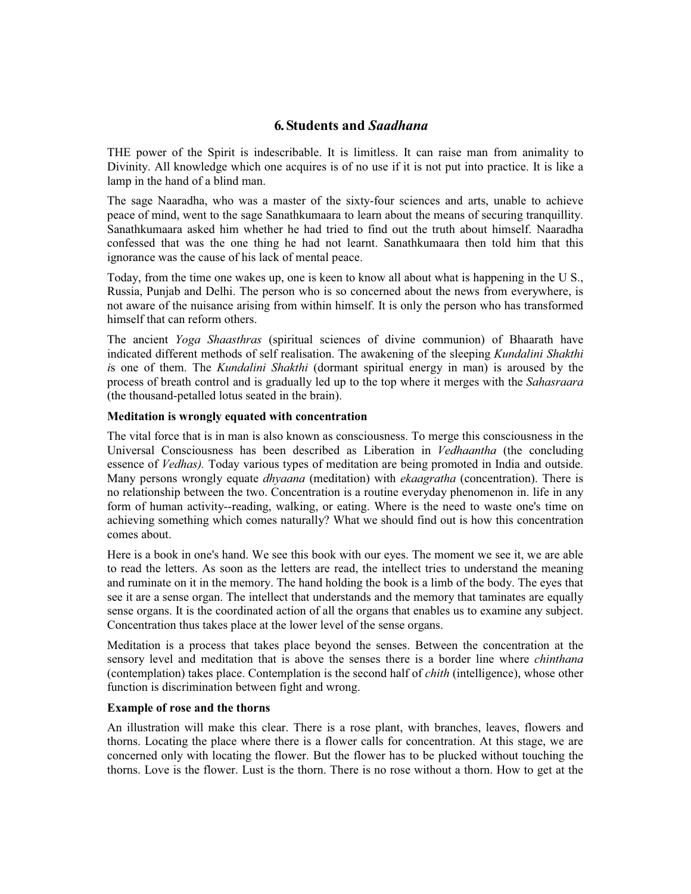# **6. Students and** *Saadhana*

THE power of the Spirit is indescribable. It is limitless. It can raise man from animality to Divinity. All knowledge which one acquires is of no use if it is not put into practice. It is like a lamp in the hand of a blind man.

The sage Naaradha, who was a master of the sixty-four sciences and arts, unable to achieve peace of mind, went to the sage Sanathkumaara to learn about the means of securing tranquillity. Sanathkumaara asked him whether he had tried to find out the truth about himself. Naaradha confessed that was the one thing he had not learnt. Sanathkumaara then told him that this ignorance was the cause of his lack of mental peace.

Today, from the time one wakes up, one is keen to know all about what is happening in the U S., Russia, Punjab and Delhi. The person who is so concerned about the news from everywhere, is not aware of the nuisance arising from within himself. It is only the person who has transformed himself that can reform others.

The ancient *Yoga Shaasthras* (spiritual sciences of divine communion) of Bhaarath have indicated different methods of self realisation. The awakening of the sleeping *Kundalini Shakthi i*s one of them. The *Kundalini Shakthi* (dormant spiritual energy in man) is aroused by the process of breath control and is gradually led up to the top where it merges with the *Sahasraara* (the thousand-petalled lotus seated in the brain).

## **Meditation is wrongly equated with concentration**

The vital force that is in man is also known as consciousness. To merge this consciousness in the Universal Consciousness has been described as Liberation in *Vedhaantha* (the concluding essence of *Vedhas).* Today various types of meditation are being promoted in India and outside. Many persons wrongly equate *dhyaana* (meditation) with *ekaagratha* (concentration). There is no relationship between the two. Concentration is a routine everyday phenomenon in. life in any form of human activity--reading, walking, or eating. Where is the need to waste one's time on achieving something which comes naturally? What we should find out is how this concentration comes about.

Here is a book in one's hand. We see this book with our eyes. The moment we see it, we are able to read the letters. As soon as the letters are read, the intellect tries to understand the meaning and ruminate on it in the memory. The hand holding the book is a limb of the body. The eyes that see it are a sense organ. The intellect that understands and the memory that taminates are equally sense organs. It is the coordinated action of all the organs that enables us to examine any subject. Concentration thus takes place at the lower level of the sense organs.

Meditation is a process that takes place beyond the senses. Between the concentration at the sensory level and meditation that is above the senses there is a border line where *chinthana* (contemplation) takes place. Contemplation is the second half of *chith* (intelligence), whose other function is discrimination between fight and wrong.

## **Example of rose and the thorns**

An illustration will make this clear. There is a rose plant, with branches, leaves, flowers and thorns. Locating the place where there is a flower calls for concentration. At this stage, we are concerned only with locating the flower. But the flower has to be plucked without touching the thorns. Love is the flower. Lust is the thorn. There is no rose without a thorn. How to get at the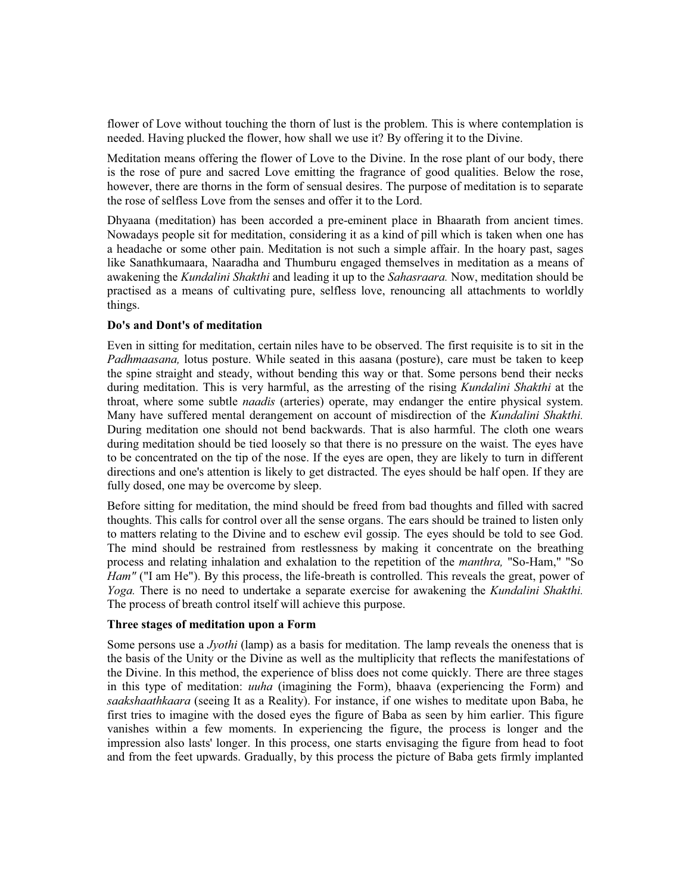flower of Love without touching the thorn of lust is the problem. This is where contemplation is needed. Having plucked the flower, how shall we use it? By offering it to the Divine.

Meditation means offering the flower of Love to the Divine. In the rose plant of our body, there is the rose of pure and sacred Love emitting the fragrance of good qualities. Below the rose, however, there are thorns in the form of sensual desires. The purpose of meditation is to separate the rose of selfless Love from the senses and offer it to the Lord.

Dhyaana (meditation) has been accorded a pre-eminent place in Bhaarath from ancient times. Nowadays people sit for meditation, considering it as a kind of pill which is taken when one has a headache or some other pain. Meditation is not such a simple affair. In the hoary past, sages like Sanathkumaara, Naaradha and Thumburu engaged themselves in meditation as a means of awakening the *Kundalini Shakthi* and leading it up to the *Sahasraara.* Now, meditation should be practised as a means of cultivating pure, selfless love, renouncing all attachments to worldly things.

## **Do's and Dont's of meditation**

Even in sitting for meditation, certain niles have to be observed. The first requisite is to sit in the *Padhmaasana*, lotus posture. While seated in this aasana (posture), care must be taken to keep the spine straight and steady, without bending this way or that. Some persons bend their necks during meditation. This is very harmful, as the arresting of the rising *Kundalini Shakthi* at the throat, where some subtle *naadis* (arteries) operate, may endanger the entire physical system. Many have suffered mental derangement on account of misdirection of the *Kundalini Shakthi.* During meditation one should not bend backwards. That is also harmful. The cloth one wears during meditation should be tied loosely so that there is no pressure on the waist. The eyes have to be concentrated on the tip of the nose. If the eyes are open, they are likely to turn in different directions and one's attention is likely to get distracted. The eyes should be half open. If they are fully dosed, one may be overcome by sleep.

Before sitting for meditation, the mind should be freed from bad thoughts and filled with sacred thoughts. This calls for control over all the sense organs. The ears should be trained to listen only to matters relating to the Divine and to eschew evil gossip. The eyes should be told to see God. The mind should be restrained from restlessness by making it concentrate on the breathing process and relating inhalation and exhalation to the repetition of the *manthra,* "So-Ham," "So *Ham"* ("I am He"). By this process, the life-breath is controlled. This reveals the great, power of *Yoga.* There is no need to undertake a separate exercise for awakening the *Kundalini Shakthi.* The process of breath control itself will achieve this purpose.

#### **Three stages of meditation upon a Form**

Some persons use a *Jyothi* (lamp) as a basis for meditation. The lamp reveals the oneness that is the basis of the Unity or the Divine as well as the multiplicity that reflects the manifestations of the Divine. In this method, the experience of bliss does not come quickly. There are three stages in this type of meditation: *uuha* (imagining the Form), bhaava (experiencing the Form) and *saakshaathkaara* (seeing It as a Reality). For instance, if one wishes to meditate upon Baba, he first tries to imagine with the dosed eyes the figure of Baba as seen by him earlier. This figure vanishes within a few moments. In experiencing the figure, the process is longer and the impression also lasts' longer. In this process, one starts envisaging the figure from head to foot and from the feet upwards. Gradually, by this process the picture of Baba gets firmly implanted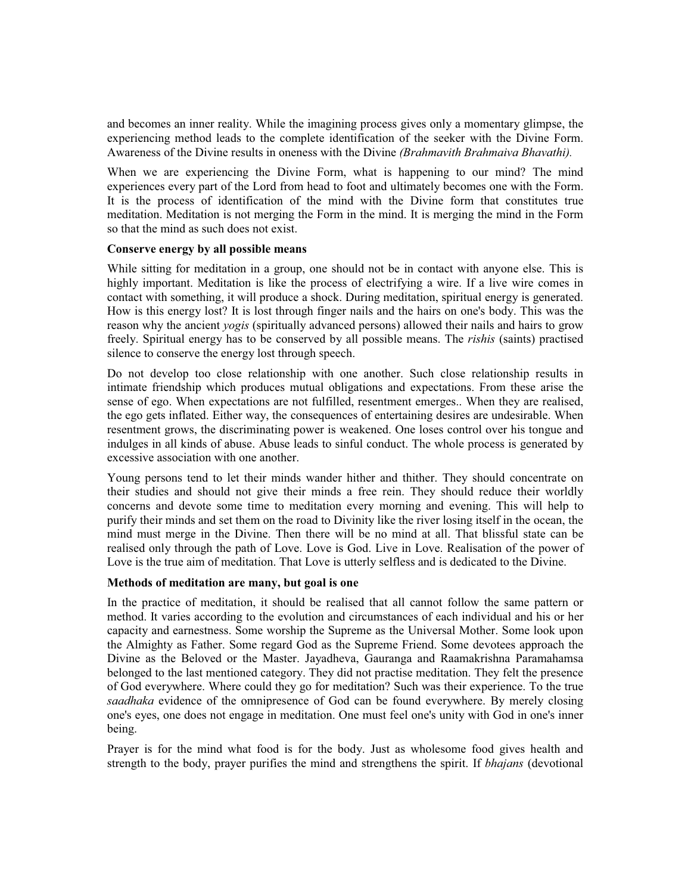and becomes an inner reality. While the imagining process gives only a momentary glimpse, the experiencing method leads to the complete identification of the seeker with the Divine Form. Awareness of the Divine results in oneness with the Divine *(Brahmavith Brahmaiva Bhavathi).*

When we are experiencing the Divine Form, what is happening to our mind? The mind experiences every part of the Lord from head to foot and ultimately becomes one with the Form. It is the process of identification of the mind with the Divine form that constitutes true meditation. Meditation is not merging the Form in the mind. It is merging the mind in the Form so that the mind as such does not exist.

## **Conserve energy by all possible means**

While sitting for meditation in a group, one should not be in contact with anyone else. This is highly important. Meditation is like the process of electrifying a wire. If a live wire comes in contact with something, it will produce a shock. During meditation, spiritual energy is generated. How is this energy lost? It is lost through finger nails and the hairs on one's body. This was the reason why the ancient *yogis* (spiritually advanced persons) allowed their nails and hairs to grow freely. Spiritual energy has to be conserved by all possible means. The *rishis* (saints) practised silence to conserve the energy lost through speech.

Do not develop too close relationship with one another. Such close relationship results in intimate friendship which produces mutual obligations and expectations. From these arise the sense of ego. When expectations are not fulfilled, resentment emerges.. When they are realised, the ego gets inflated. Either way, the consequences of entertaining desires are undesirable. When resentment grows, the discriminating power is weakened. One loses control over his tongue and indulges in all kinds of abuse. Abuse leads to sinful conduct. The whole process is generated by excessive association with one another.

Young persons tend to let their minds wander hither and thither. They should concentrate on their studies and should not give their minds a free rein. They should reduce their worldly concerns and devote some time to meditation every morning and evening. This will help to purify their minds and set them on the road to Divinity like the river losing itself in the ocean, the mind must merge in the Divine. Then there will be no mind at all. That blissful state can be realised only through the path of Love. Love is God. Live in Love. Realisation of the power of Love is the true aim of meditation. That Love is utterly selfless and is dedicated to the Divine.

## **Methods of meditation are many, but goal is one**

In the practice of meditation, it should be realised that all cannot follow the same pattern or method. It varies according to the evolution and circumstances of each individual and his or her capacity and earnestness. Some worship the Supreme as the Universal Mother. Some look upon the Almighty as Father. Some regard God as the Supreme Friend. Some devotees approach the Divine as the Beloved or the Master. Jayadheva, Gauranga and Raamakrishna Paramahamsa belonged to the last mentioned category. They did not practise meditation. They felt the presence of God everywhere. Where could they go for meditation? Such was their experience. To the true *saadhaka* evidence of the omnipresence of God can be found everywhere. By merely closing one's eyes, one does not engage in meditation. One must feel one's unity with God in one's inner being.

Prayer is for the mind what food is for the body. Just as wholesome food gives health and strength to the body, prayer purifies the mind and strengthens the spirit. If *bhajans* (devotional